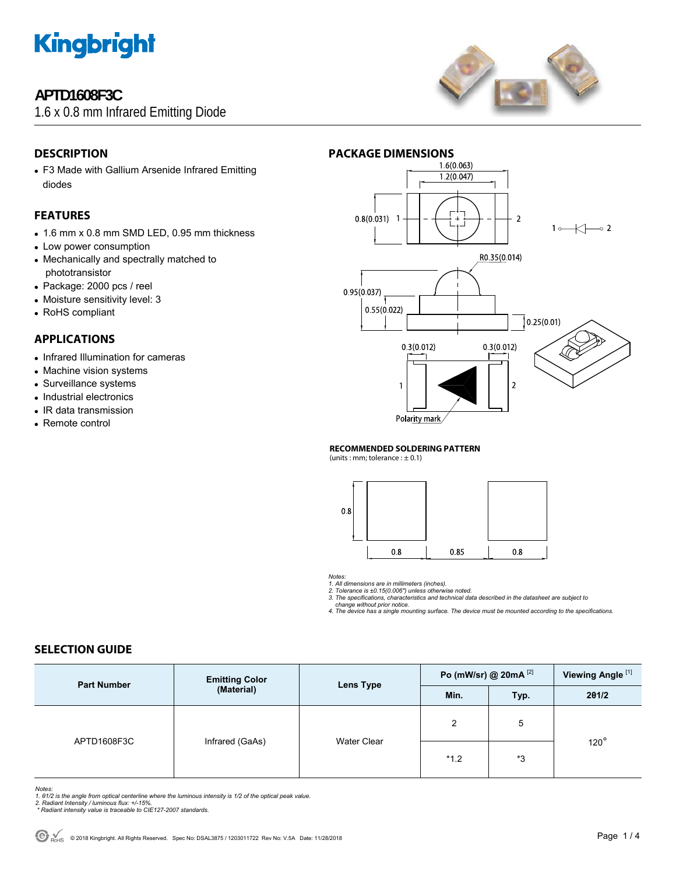

# **APTD1608F3C**

1.6 x 0.8 mm Infrared Emitting Diode



### **DESCRIPTION**

• F3 Made with Gallium Arsenide Infrared Emitting diodes

### **FEATURES**

- 1.6 mm x 0.8 mm SMD LED, 0.95 mm thickness
- Low power consumption
- Mechanically and spectrally matched to phototransistor
- Package: 2000 pcs / reel
- Moisture sensitivity level: 3
- RoHS compliant

#### **APPLICATIONS**

- Infrared Illumination for cameras
- Machine vision systems
- Surveillance systems
- Industrial electronics
- IR data transmission
- Remote control



#### **RECOMMENDED SOLDERING PATTERN**

(units : mm; tolerance  $: \pm 0.1$ )



*Notes:* 

*1. All dimensions are in millimeters (inches). 2. Tolerance is ±0.15(0.006") unless otherwise noted.* 

*3. The specifications, characteristics and technical data described in the datasheet are subject to change without prior notice.* 

*4. The device has a single mounting surface. The device must be mounted according to the specifications.* 

#### **SELECTION GUIDE**

| <b>Part Number</b> | <b>Emitting Color</b><br>(Material) | Lens Type          | Po (mW/sr) @ 20mA $^{[2]}$ |      | Viewing Angle <sup>[1]</sup> |
|--------------------|-------------------------------------|--------------------|----------------------------|------|------------------------------|
|                    |                                     |                    | Min.                       | Typ. | 201/2                        |
| APTD1608F3C        | Infrared (GaAs)                     | <b>Water Clear</b> | $\overline{2}$             | 5    | $120^\circ$                  |
|                    |                                     |                    | $*1.2$                     | *3   |                              |

Notes:<br>1. 61/2 is the angle from optical centerline where the luminous intensity is 1/2 of the optical peak value.<br>2. Radiant Intensity / luminous flux: +/-15%.<br>\* Radiant intensity value is traceable to CIE127-2007 standar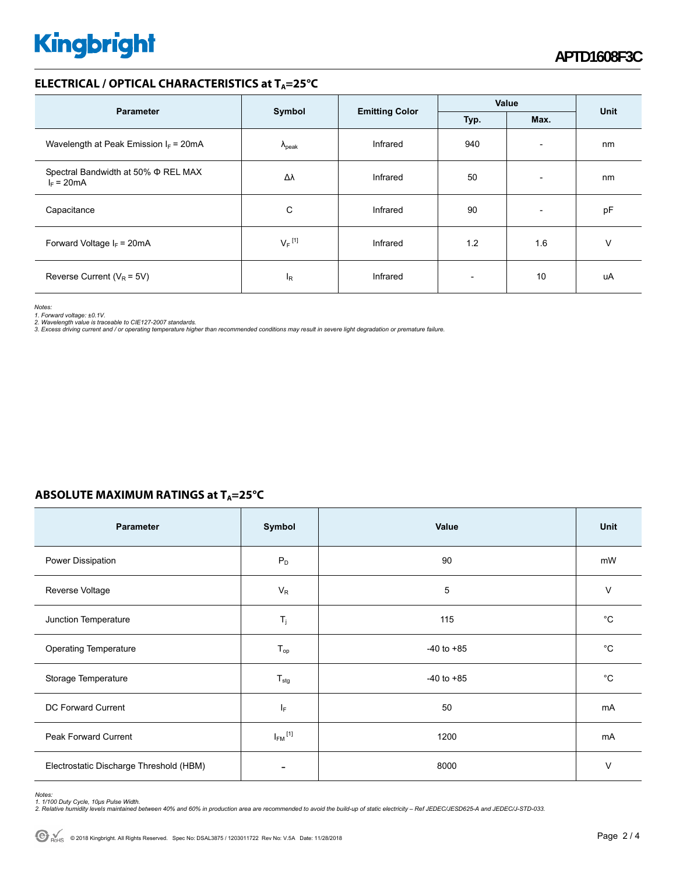# **Kingbright**

#### **ELECTRICAL / OPTICAL CHARACTERISTICS at TA=25°C**

| <b>Parameter</b>                                         | Symbol               | <b>Emitting Color</b> | Value |                          | <b>Unit</b> |
|----------------------------------------------------------|----------------------|-----------------------|-------|--------------------------|-------------|
|                                                          |                      |                       | Typ.  | Max.                     |             |
| Wavelength at Peak Emission $I_F$ = 20mA                 | $\Lambda_{\rm peak}$ | Infrared              | 940   | $\overline{\phantom{a}}$ | nm          |
| Spectral Bandwidth at 50% $\Phi$ REL MAX<br>$I_F = 20mA$ | Δλ                   | Infrared              | 50    | $\overline{\phantom{a}}$ | nm          |
| Capacitance                                              | C                    | Infrared              | 90    | $\overline{\phantom{a}}$ | pF          |
| Forward Voltage $I_F$ = 20mA                             | $V_F$ <sup>[1]</sup> | Infrared              | 1.2   | 1.6                      | ν           |
| Reverse Current ( $V_R$ = 5V)                            | ΙR                   | Infrared              |       | 10                       | uA          |

*Notes:* 

1. Forward voltage: ±0.1V.<br>2. Wavelength value is traceable to CIE127-2007 standards.<br>3. Excess driving current and / or operating temperature higher than recommended conditions may result in severe light degradation or pr

### **ABSOLUTE MAXIMUM RATINGS at T<sub>A</sub>=25°C**

| Parameter                               | Symbol                   | Value          | <b>Unit</b> |
|-----------------------------------------|--------------------------|----------------|-------------|
| Power Dissipation                       | $P_D$                    | 90             | mW          |
| Reverse Voltage                         | $V_R$                    | 5              | $\vee$      |
| Junction Temperature                    | $T_j$                    | 115            | $^{\circ}C$ |
| Operating Temperature                   | $T_{op}$                 | $-40$ to $+85$ | °C          |
| Storage Temperature                     | $T_{\text{stg}}$         | $-40$ to $+85$ | °C          |
| <b>DC Forward Current</b>               | ΙF                       | 50             | mA          |
| Peak Forward Current                    | $I_{FM}$ <sup>[1]</sup>  | 1200           | mA          |
| Electrostatic Discharge Threshold (HBM) | $\overline{\phantom{0}}$ | 8000           | $\vee$      |

Notes:<br>1. 1/100 Duty Cycle, 10µs Pulse Width.<br>2. Relative humidity levels maintained between 40% and 60% in production area are recommended to avoid the build-up of static electricity – Ref JEDEC/JESD625-A and JEDEC/J-STD-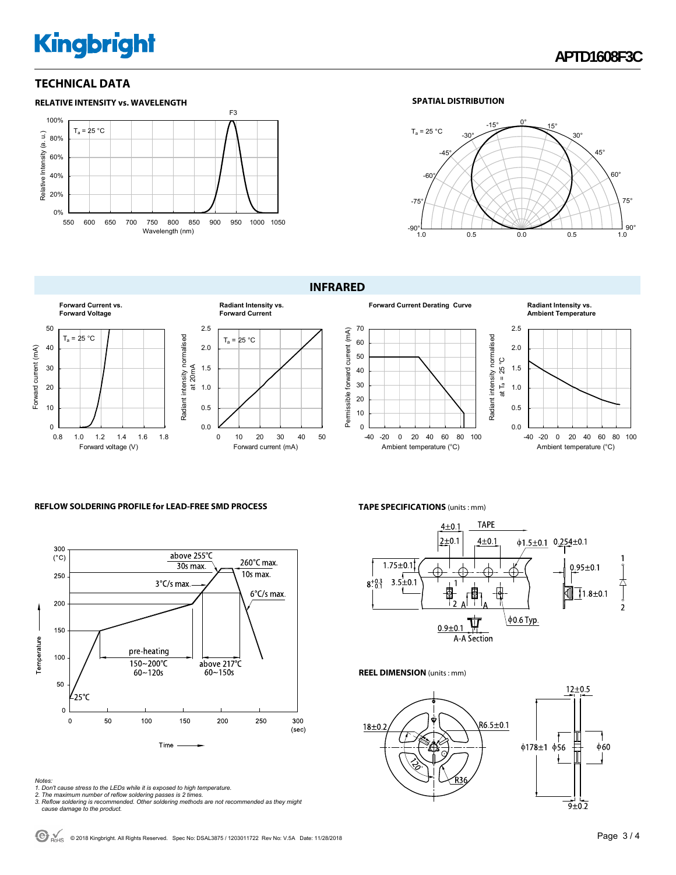# **Kingbright**

#### **TECHNICAL DATA**



#### **SPATIAL DISTRIBUTION**



#### **INFRARED**





#### **Radiant Intensity vs. Ambient Temperature**



#### **REFLOW SOLDERING PROFILE for LEAD-FREE SMD PROCESS**



- 
- 
- Notes:<br>1. Don't cause stress to the LEDs while it is exposed to high temperature.<br>2. The maximum number of reflow soldering passes is 2 times.<br>3. Reflow soldering is recommended. Other soldering methods are not recommended

#### **TAPE SPECIFICATIONS** (units : mm)



#### **REEL DIMENSION** (units : mm)



© 2018 Kingbright. All Rights Reserved. Spec No: DSAL3875 / 1203011722 Rev No: V.5A Date: 11/28/2018Page 3 / 4